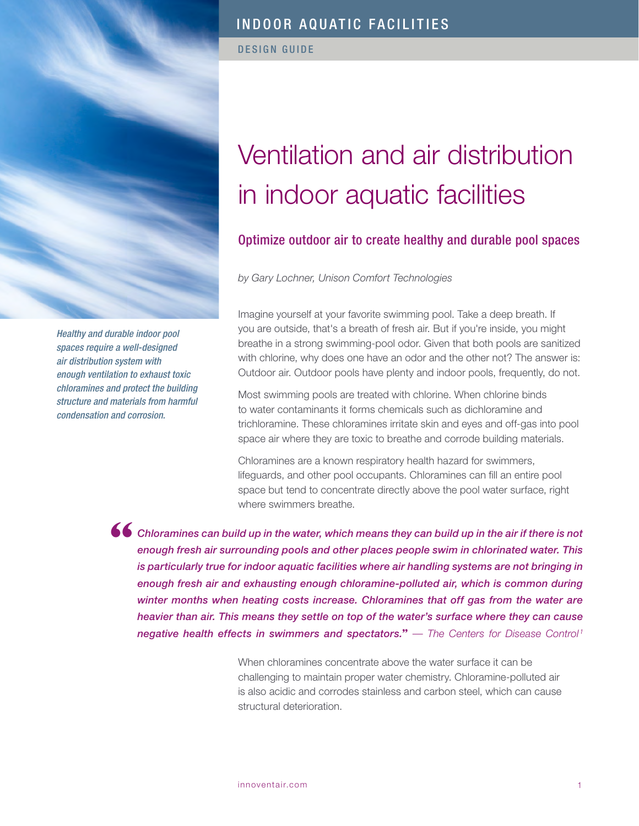

*Healthy and durable indoor pool spaces require a well-designed air distribution system with enough ventilation to exhaust toxic chloramines and protect the building structure and materials from harmful condensation and corrosion.*

# INDOOR AQUATIC FACILITIES

DESIGN GUIDE

# Ventilation and air distribution in indoor aquatic facilities

# Optimize outdoor air to create healthy and durable pool spaces

*by Gary Lochner, Unison Comfort Technologies*

Imagine yourself at your favorite swimming pool. Take a deep breath. If you are outside, that's a breath of fresh air. But if you're inside, you might breathe in a strong swimming-pool odor. Given that both pools are sanitized with chlorine, why does one have an odor and the other not? The answer is: Outdoor air. Outdoor pools have plenty and indoor pools, frequently, do not.

Most swimming pools are treated with chlorine. When chlorine binds to water contaminants it forms chemicals such as dichloramine and trichloramine. These chloramines irritate skin and eyes and off-gas into pool space air where they are toxic to breathe and corrode building materials.

Chloramines are a known respiratory health hazard for swimmers, lifeguards, and other pool occupants. Chloramines can fill an entire pool space but tend to concentrate directly above the pool water surface, right where swimmers breathe.

*Chloramines can build up in the water, which means they can build up in the air if there is not enough fresh air surrounding pools and other places people swim in chlorinated water. This is particularly true for indoor aquatic facilities where air handling systems are not bringing in enough fresh air and exhausting enough chloramine-polluted air, which is common during winter months when heating costs increase. Chloramines that off gas from the water are heavier than air. This means they settle on top of the water's surface where they can cause negative health effects in swimmers and spectators.***"** — *The Centers for Disease Control<sup>1</sup>* **"**

> When chloramines concentrate above the water surface it can be challenging to maintain proper water chemistry. Chloramine-polluted air is also acidic and corrodes stainless and carbon steel, which can cause structural deterioration.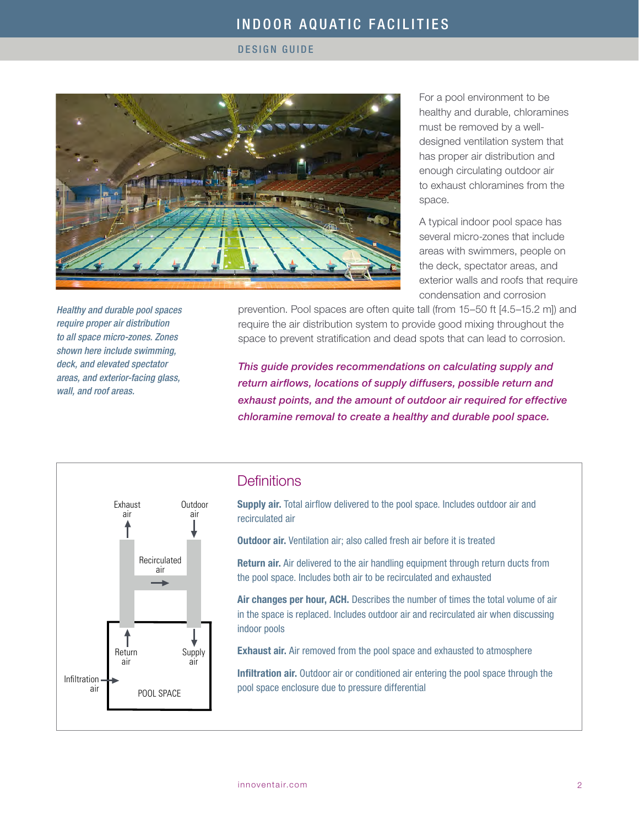#### DESIGN GUIDE



For a pool environment to be healthy and durable, chloramines must be removed by a welldesigned ventilation system that has proper air distribution and enough circulating outdoor air to exhaust chloramines from the space.

A typical indoor pool space has several micro-zones that include areas with swimmers, people on the deck, spectator areas, and exterior walls and roofs that require condensation and corrosion

prevention. Pool spaces are often quite tall (from 15–50 ft [4.5–15.2 m]) and require the air distribution system to provide good mixing throughout the space to prevent stratification and dead spots that can lead to corrosion.

*This guide provides recommendations on calculating supply and return airflows, locations of supply diffusers, possible return and exhaust points, and the amount of outdoor air required for effective chloramine removal to create a healthy and durable pool space.*



*Healthy and durable pool spaces require proper air distribution to all space micro-zones. Zones shown here include swimming, deck, and elevated spectator areas, and exterior-facing glass,* 

*wall, and roof areas.*

# **Definitions**

Supply air. Total airflow delivered to the pool space. Includes outdoor air and recirculated air

**Outdoor air.** Ventilation air: also called fresh air before it is treated

Return air. Air delivered to the air handling equipment through return ducts from the pool space. Includes both air to be recirculated and exhausted

Air changes per hour, ACH. Describes the number of times the total volume of air in the space is replaced. Includes outdoor air and recirculated air when discussing indoor pools

Exhaust air. Air removed from the pool space and exhausted to atmosphere

Infiltration air. Outdoor air or conditioned air entering the pool space through the pool space enclosure due to pressure differential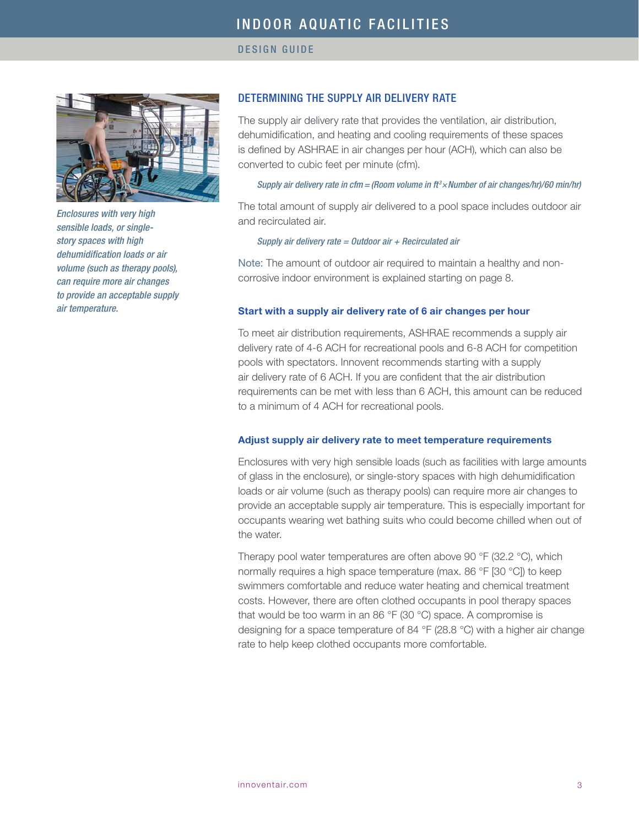

*Enclosures with very high sensible loads, or singlestory spaces with high dehumidification loads or air volume (such as therapy pools), can require more air changes to provide an acceptable supply air temperature.*

# DETERMINING THE SUPPLY AIR DELIVERY RATE

The supply air delivery rate that provides the ventilation, air distribution, dehumidification, and heating and cooling requirements of these spaces is defined by ASHRAE in air changes per hour (ACH), which can also be converted to cubic feet per minute (cfm).

#### *Supply air delivery rate in cfm = (Room volume in ft <sup>3</sup> ×Number of air changes/hr)/60 min/hr)*

The total amount of supply air delivered to a pool space includes outdoor air and recirculated air.

#### *Supply air delivery rate = Outdoor air + Recirculated air*

Note: The amount of outdoor air required to maintain a healthy and noncorrosive indoor environment is explained starting on page 8.

#### Start with a supply air delivery rate of 6 air changes per hour

To meet air distribution requirements, ASHRAE recommends a supply air delivery rate of 4-6 ACH for recreational pools and 6-8 ACH for competition pools with spectators. Innovent recommends starting with a supply air delivery rate of 6 ACH. If you are confident that the air distribution requirements can be met with less than 6 ACH, this amount can be reduced to a minimum of 4 ACH for recreational pools.

#### Adjust supply air delivery rate to meet temperature requirements

Enclosures with very high sensible loads (such as facilities with large amounts of glass in the enclosure), or single-story spaces with high dehumidification loads or air volume (such as therapy pools) can require more air changes to provide an acceptable supply air temperature. This is especially important for occupants wearing wet bathing suits who could become chilled when out of the water.

Therapy pool water temperatures are often above 90 °F (32.2 °C), which normally requires a high space temperature (max. 86 °F [30 °C]) to keep swimmers comfortable and reduce water heating and chemical treatment costs. However, there are often clothed occupants in pool therapy spaces that would be too warm in an 86 °F (30 °C) space. A compromise is designing for a space temperature of 84 °F (28.8 °C) with a higher air change rate to help keep clothed occupants more comfortable.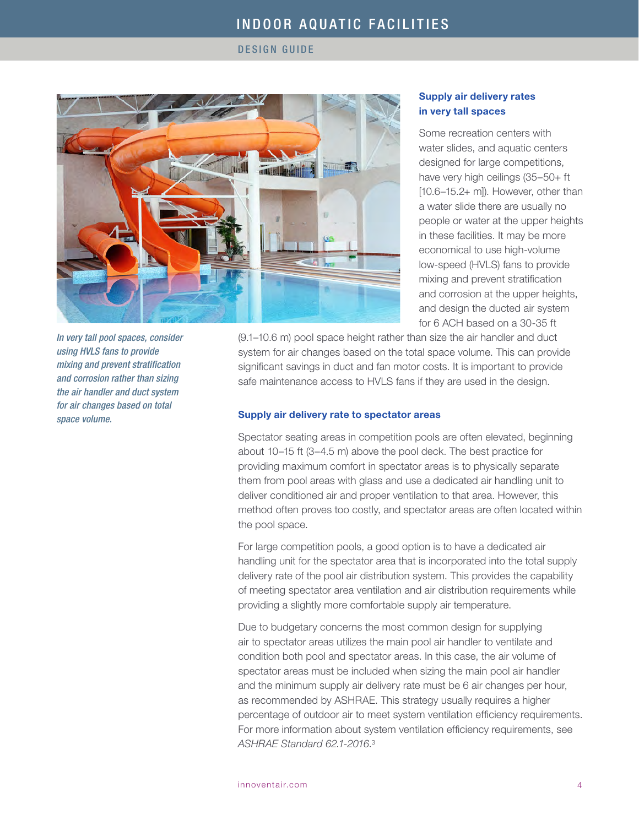DESIGN GUIDE



*In very tall pool spaces, consider using HVLS fans to provide mixing and prevent stratification and corrosion rather than sizing the air handler and duct system for air changes based on total space volume.*

# Supply air delivery rates in very tall spaces

Some recreation centers with water slides, and aquatic centers designed for large competitions, have very high ceilings (35–50+ ft [10.6–15.2+ m]). However, other than a water slide there are usually no people or water at the upper heights in these facilities. It may be more economical to use high-volume low-speed (HVLS) fans to provide mixing and prevent stratification and corrosion at the upper heights, and design the ducted air system for 6 ACH based on a 30-35 ft

(9.1–10.6 m) pool space height rather than size the air handler and duct system for air changes based on the total space volume. This can provide significant savings in duct and fan motor costs. It is important to provide safe maintenance access to HVLS fans if they are used in the design.

#### Supply air delivery rate to spectator areas

Spectator seating areas in competition pools are often elevated, beginning about 10–15 ft (3–4.5 m) above the pool deck. The best practice for providing maximum comfort in spectator areas is to physically separate them from pool areas with glass and use a dedicated air handling unit to deliver conditioned air and proper ventilation to that area. However, this method often proves too costly, and spectator areas are often located within the pool space.

For large competition pools, a good option is to have a dedicated air handling unit for the spectator area that is incorporated into the total supply delivery rate of the pool air distribution system. This provides the capability of meeting spectator area ventilation and air distribution requirements while providing a slightly more comfortable supply air temperature.

Due to budgetary concerns the most common design for supplying air to spectator areas utilizes the main pool air handler to ventilate and condition both pool and spectator areas. In this case, the air volume of spectator areas must be included when sizing the main pool air handler and the minimum supply air delivery rate must be 6 air changes per hour, as recommended by ASHRAE. This strategy usually requires a higher percentage of outdoor air to meet system ventilation efficiency requirements. For more information about system ventilation efficiency requirements, see *ASHRAE Standard 62.1-2016*. 3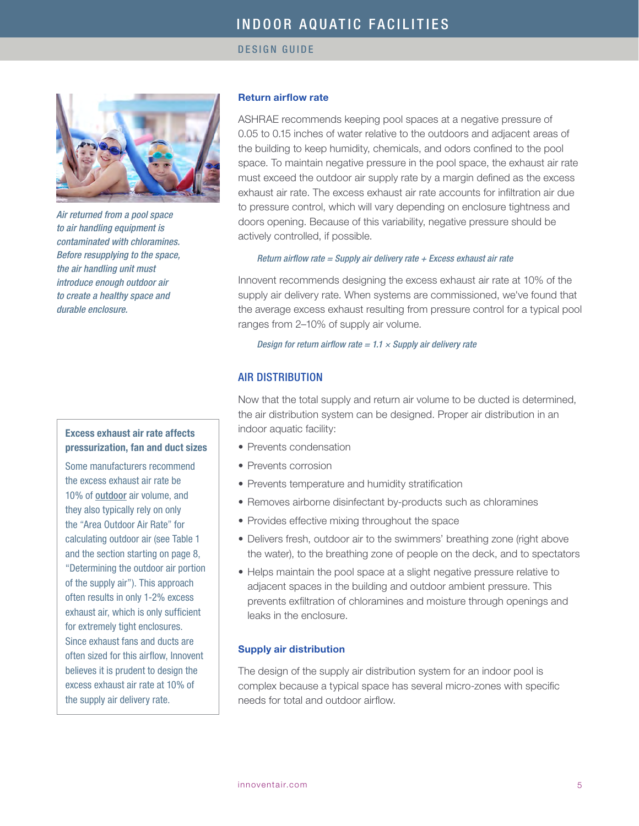

*Air returned from a pool space to air handling equipment is contaminated with chloramines. Before resupplying to the space, the air handling unit must introduce enough outdoor air to create a healthy space and durable enclosure.* 

# Excess exhaust air rate affects pressurization, fan and duct sizes

Some manufacturers recommend the excess exhaust air rate be 10% of outdoor air volume, and they also typically rely on only the "Area Outdoor Air Rate" for calculating outdoor air (see Table 1 and the section starting on page 8, "Determining the outdoor air portion of the supply air"). This approach often results in only 1-2% excess exhaust air, which is only sufficient for extremely tight enclosures. Since exhaust fans and ducts are often sized for this airflow, Innovent believes it is prudent to design the excess exhaust air rate at 10% of the supply air delivery rate.

# Return airflow rate

ASHRAE recommends keeping pool spaces at a negative pressure of 0.05 to 0.15 inches of water relative to the outdoors and adjacent areas of the building to keep humidity, chemicals, and odors confined to the pool space. To maintain negative pressure in the pool space, the exhaust air rate must exceed the outdoor air supply rate by a margin defined as the excess exhaust air rate. The excess exhaust air rate accounts for infiltration air due to pressure control, which will vary depending on enclosure tightness and doors opening. Because of this variability, negative pressure should be actively controlled, if possible.

#### *Return airflow rate = Supply air delivery rate + Excess exhaust air rate*

Innovent recommends designing the excess exhaust air rate at 10% of the supply air delivery rate. When systems are commissioned, we've found that the average excess exhaust resulting from pressure control for a typical pool ranges from 2–10% of supply air volume.

# *Design for return airflow rate = 1.1 × Supply air delivery rate*

# AIR DISTRIBUTION

Now that the total supply and return air volume to be ducted is determined, the air distribution system can be designed. Proper air distribution in an indoor aquatic facility:

- Prevents condensation
- Prevents corrosion
- Prevents temperature and humidity stratification
- Removes airborne disinfectant by-products such as chloramines
- Provides effective mixing throughout the space
- Delivers fresh, outdoor air to the swimmers' breathing zone (right above the water), to the breathing zone of people on the deck, and to spectators
- Helps maintain the pool space at a slight negative pressure relative to adjacent spaces in the building and outdoor ambient pressure. This prevents exfiltration of chloramines and moisture through openings and leaks in the enclosure.

## Supply air distribution

The design of the supply air distribution system for an indoor pool is complex because a typical space has several micro-zones with specific needs for total and outdoor airflow.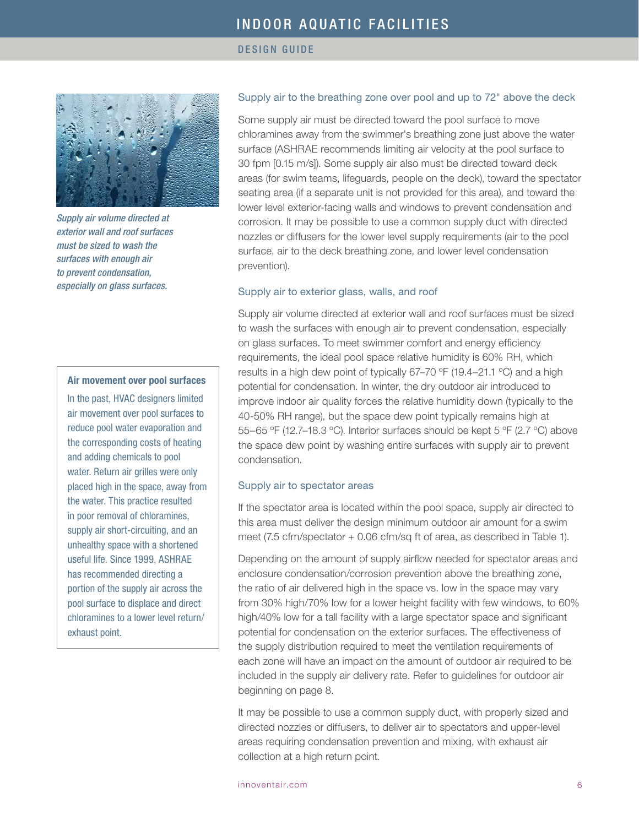DESIGN GUIDE



*Supply air volume directed at exterior wall and roof surfaces must be sized to wash the surfaces with enough air to prevent condensation, especially on glass surfaces.* 

#### Air movement over pool surfaces

In the past, HVAC designers limited air movement over pool surfaces to reduce pool water evaporation and the corresponding costs of heating and adding chemicals to pool water. Return air grilles were only placed high in the space, away from the water. This practice resulted in poor removal of chloramines, supply air short-circuiting, and an unhealthy space with a shortened useful life. Since 1999, ASHRAE has recommended directing a portion of the supply air across the pool surface to displace and direct chloramines to a lower level return/ exhaust point.

## Supply air to the breathing zone over pool and up to 72" above the deck

Some supply air must be directed toward the pool surface to move chloramines away from the swimmer's breathing zone just above the water surface (ASHRAE recommends limiting air velocity at the pool surface to 30 fpm [0.15 m/s]). Some supply air also must be directed toward deck areas (for swim teams, lifeguards, people on the deck), toward the spectator seating area (if a separate unit is not provided for this area), and toward the lower level exterior-facing walls and windows to prevent condensation and corrosion. It may be possible to use a common supply duct with directed nozzles or diffusers for the lower level supply requirements (air to the pool surface, air to the deck breathing zone, and lower level condensation prevention).

## Supply air to exterior glass, walls, and roof

Supply air volume directed at exterior wall and roof surfaces must be sized to wash the surfaces with enough air to prevent condensation, especially on glass surfaces. To meet swimmer comfort and energy efficiency requirements, the ideal pool space relative humidity is 60% RH, which results in a high dew point of typically 67–70 ºF (19.4–21.1 ºC) and a high potential for condensation. In winter, the dry outdoor air introduced to improve indoor air quality forces the relative humidity down (typically to the 40-50% RH range), but the space dew point typically remains high at 55–65 ºF (12.7–18.3 ºC). Interior surfaces should be kept 5 ºF (2.7 ºC) above the space dew point by washing entire surfaces with supply air to prevent condensation.

#### Supply air to spectator areas

If the spectator area is located within the pool space, supply air directed to this area must deliver the design minimum outdoor air amount for a swim meet (7.5 cfm/spectator + 0.06 cfm/sq ft of area, as described in Table 1).

Depending on the amount of supply airflow needed for spectator areas and enclosure condensation/corrosion prevention above the breathing zone, the ratio of air delivered high in the space vs. low in the space may vary from 30% high/70% low for a lower height facility with few windows, to 60% high/40% low for a tall facility with a large spectator space and significant potential for condensation on the exterior surfaces. The effectiveness of the supply distribution required to meet the ventilation requirements of each zone will have an impact on the amount of outdoor air required to be included in the supply air delivery rate. Refer to guidelines for outdoor air beginning on page 8.

It may be possible to use a common supply duct, with properly sized and directed nozzles or diffusers, to deliver air to spectators and upper-level areas requiring condensation prevention and mixing, with exhaust air collection at a high return point.

[innoventair.com](http://www.innoventair.com) 6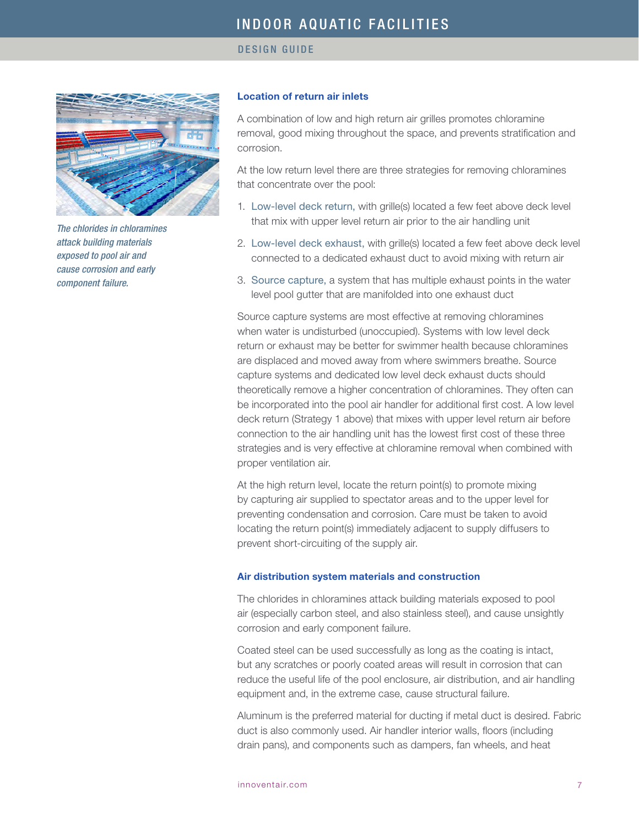

*The chlorides in chloramines attack building materials exposed to pool air and cause corrosion and early component failure.*

## Location of return air inlets

A combination of low and high return air grilles promotes chloramine removal, good mixing throughout the space, and prevents stratification and corrosion.

At the low return level there are three strategies for removing chloramines that concentrate over the pool:

- 1. Low-level deck return, with grille(s) located a few feet above deck level that mix with upper level return air prior to the air handling unit
- 2. Low-level deck exhaust, with grille(s) located a few feet above deck level connected to a dedicated exhaust duct to avoid mixing with return air
- 3. Source capture, a system that has multiple exhaust points in the water level pool gutter that are manifolded into one exhaust duct

Source capture systems are most effective at removing chloramines when water is undisturbed (unoccupied). Systems with low level deck return or exhaust may be better for swimmer health because chloramines are displaced and moved away from where swimmers breathe. Source capture systems and dedicated low level deck exhaust ducts should theoretically remove a higher concentration of chloramines. They often can be incorporated into the pool air handler for additional first cost. A low level deck return (Strategy 1 above) that mixes with upper level return air before connection to the air handling unit has the lowest first cost of these three strategies and is very effective at chloramine removal when combined with proper ventilation air.

At the high return level, locate the return point(s) to promote mixing by capturing air supplied to spectator areas and to the upper level for preventing condensation and corrosion. Care must be taken to avoid locating the return point(s) immediately adjacent to supply diffusers to prevent short-circuiting of the supply air.

#### Air distribution system materials and construction

The chlorides in chloramines attack building materials exposed to pool air (especially carbon steel, and also stainless steel), and cause unsightly corrosion and early component failure.

Coated steel can be used successfully as long as the coating is intact, but any scratches or poorly coated areas will result in corrosion that can reduce the useful life of the pool enclosure, air distribution, and air handling equipment and, in the extreme case, cause structural failure.

Aluminum is the preferred material for ducting if metal duct is desired. Fabric duct is also commonly used. Air handler interior walls, floors (including drain pans), and components such as dampers, fan wheels, and heat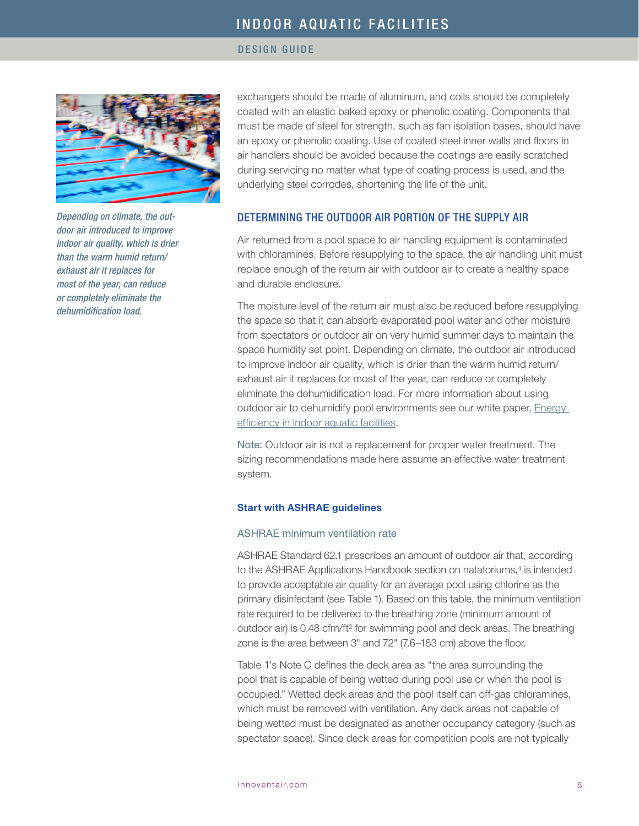#### DESIGN GUIDE



*Depending on climate, the outdoor air introduced to improve indoor air quality, which is drier than the warm humid return/ exhaust air it replaces for most of the year, can reduce or completely eliminate the dehumidification load.* 

exchangers should be made of aluminum, and coils should be completely coated with an elastic baked epoxy or phenolic coating. Components that must be made of steel for strength, such as fan isolation bases, should have an epoxy or phenolic coating. Use of coated steel inner walls and floors in air handlers should be avoided because the coatings are easily scratched during servicing no matter what type of coating process is used, and the underlying steel corrodes, shortening the life of the unit.

# DETERMINING THE OUTDOOR AIR PORTION OF THE SUPPLY AIR

Air returned from a pool space to air handling equipment is contaminated with chloramines. Before resupplying to the space, the air handling unit must replace enough of the return air with outdoor air to create a healthy space and durable enclosure.

The moisture level of the return air must also be reduced before resupplying the space so that it can absorb evaporated pool water and other moisture from spectators or outdoor air on very humid summer days to maintain the space humidity set point. Depending on climate, the outdoor air introduced to improve indoor air quality, which is drier than the warm humid return/ exhaust air it replaces for most of the year, can reduce or completely eliminate the dehumidification load. For more information about using outdoor air to dehumidify pool environments see our white paper, Energy [efficiency in indoor aquatic facilities](http://innoventair.com/Portals/3/Breathe%20Content/Aquatic-facilities-energy-efficiency.pdf).

Note: Outdoor air is not a replacement for proper water treatment. The sizing recommendations made here assume an effective water treatment system.

## Start with ASHRAE guidelines

# ASHRAE minimum ventilation rate

ASHRAE Standard 62.1 prescribes an amount of outdoor air that, according to the ASHRAE Applications Handbook section on natatoriums,4 is intended to provide acceptable air quality for an average pool using chlorine as the primary disinfectant (see Table 1). Based on this table, the minimum ventilation rate required to be delivered to the breathing zone (minimum amount of outdoor air) is 0.48 cfm/ft<sup>2</sup> for swimming pool and deck areas. The breathing zone is the area between 3" and 72" (7.6–183 cm) above the floor.

Table 1's Note C defines the deck area as "the area surrounding the pool that is capable of being wetted during pool use or when the pool is occupied." Wetted deck areas and the pool itself can off-gas chloramines, which must be removed with ventilation. Any deck areas not capable of being wetted must be designated as another occupancy category (such as spectator space). Since deck areas for competition pools are not typically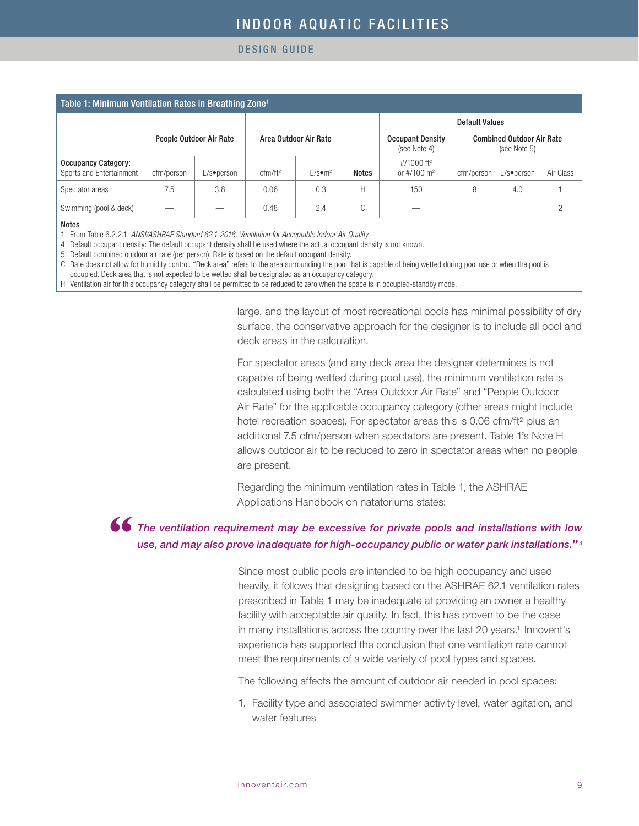DESIGN GUIDE

| Table 1: Minimum Ventilation Rates in Breathing Zone <sup>1</sup> |            |                         |                       |                           |              |                                                     |                                                  |               |           |
|-------------------------------------------------------------------|------------|-------------------------|-----------------------|---------------------------|--------------|-----------------------------------------------------|--------------------------------------------------|---------------|-----------|
|                                                                   |            |                         |                       |                           |              | <b>Default Values</b>                               |                                                  |               |           |
|                                                                   |            | People Outdoor Air Rate | Area Outdoor Air Rate |                           |              | <b>Occupant Density</b><br>(see Note 4)             | <b>Combined Outdoor Air Rate</b><br>(see Note 5) |               |           |
| <b>Occupancy Category:</b><br>Sports and Entertainment            | cfm/person | $L/s \bullet person$    | cfm/ft <sup>2</sup>   | $\mathsf{\bot}$ /s●m $^2$ | <b>Notes</b> | #/1000 ft <sup>2</sup><br>or $\#/100 \; \text{m}^2$ | cfm/person                                       | $L/s$ •person | Air Class |
| Spectator areas                                                   | 7.5        | 3.8                     | 0.06                  | 0.3                       | Н            | 150                                                 | 8                                                | 4.0           |           |
| Swimming (pool & deck)                                            |            |                         | 0.48                  | 2.4                       | $\cap$<br>◡  |                                                     |                                                  |               |           |

#### Notes

1 From Table 6.2.2.1, *ANSI/ASHRAE Standard 62.1-2016. Ventilation for Acceptable Indoor Air Quality.*

4 Default occupant density: The default occupant density shall be used where the actual occupant density is not known.

5 Default combined outdoor air rate (per person): Rate is based on the default occupant density.

C Rate does not allow for humidity control. "Deck area" refers to the area surrounding the pool that is capable of being wetted during pool use or when the pool is

occupied. Deck area that is not expected to be wetted shall be designated as an occupancy category.

H Ventilation air for this occupancy category shall be permitted to be reduced to zero when the space is in occupied-standby mode.

large, and the layout of most recreational pools has minimal possibility of dry surface, the conservative approach for the designer is to include all pool and deck areas in the calculation.

For spectator areas (and any deck area the designer determines is not capable of being wetted during pool use), the minimum ventilation rate is calculated using both the "Area Outdoor Air Rate" and "People Outdoor Air Rate" for the applicable occupancy category (other areas might include hotel recreation spaces). For spectator areas this is 0.06 cfm/ft<sup>2</sup> plus an additional 7.5 cfm/person when spectators are present. Table 1's Note H allows outdoor air to be reduced to zero in spectator areas when no people are present.

Regarding the minimum ventilation rates in Table 1, the ASHRAE Applications Handbook on natatoriums states:

# **"** *The ventilation requirement may be excessive for private pools and installations with low use, and may also prove inadequate for high-occupancy public or water park installations.***"***<sup>4</sup>*

Since most public pools are intended to be high occupancy and used heavily, it follows that designing based on the ASHRAE 62.1 ventilation rates prescribed in Table 1 may be inadequate at providing an owner a healthy facility with acceptable air quality. In fact, this has proven to be the case in many installations across the country over the last 20 years.<sup>1</sup> Innovent's experience has supported the conclusion that one ventilation rate cannot meet the requirements of a wide variety of pool types and spaces.

The following affects the amount of outdoor air needed in pool spaces:

1. Facility type and associated swimmer activity level, water agitation, and water features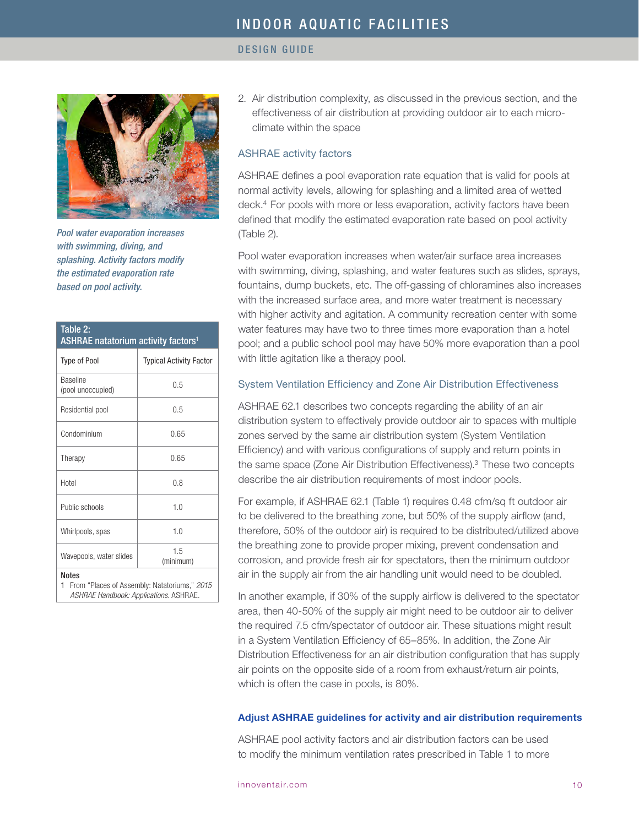

*Pool water evaporation increases with swimming, diving, and splashing. Activity factors modify the estimated evaporation rate based on pool activity.*

| Table 2:<br><b>ASHRAE natatorium activity factors<sup>1</sup></b>                                            |                                |  |  |  |
|--------------------------------------------------------------------------------------------------------------|--------------------------------|--|--|--|
| <b>Type of Pool</b>                                                                                          | <b>Typical Activity Factor</b> |  |  |  |
| <b>Baseline</b><br>(pool unoccupied)                                                                         | 0.5                            |  |  |  |
| Residential pool                                                                                             | 0.5                            |  |  |  |
| Condominium                                                                                                  | 0.65                           |  |  |  |
| Therapy                                                                                                      | 0.65                           |  |  |  |
| Hotel                                                                                                        | 0.8                            |  |  |  |
| Public schools                                                                                               | 1.0                            |  |  |  |
| Whirlpools, spas                                                                                             | 1.0                            |  |  |  |
| Wavepools, water slides                                                                                      | 1.5<br>(minimum)               |  |  |  |
| <b>Notes</b><br>From "Places of Assembly: Natatoriums," 2015<br>1.<br>ASHRAE Handbook: Applications. ASHRAE. |                                |  |  |  |

2. Air distribution complexity, as discussed in the previous section, and the effectiveness of air distribution at providing outdoor air to each microclimate within the space

## ASHRAE activity factors

ASHRAE defines a pool evaporation rate equation that is valid for pools at normal activity levels, allowing for splashing and a limited area of wetted deck.4 For pools with more or less evaporation, activity factors have been defined that modify the estimated evaporation rate based on pool activity (Table 2).

Pool water evaporation increases when water/air surface area increases with swimming, diving, splashing, and water features such as slides, sprays, fountains, dump buckets, etc. The off-gassing of chloramines also increases with the increased surface area, and more water treatment is necessary with higher activity and agitation. A community recreation center with some water features may have two to three times more evaporation than a hotel pool; and a public school pool may have 50% more evaporation than a pool with little agitation like a therapy pool.

# System Ventilation Efficiency and Zone Air Distribution Effectiveness

ASHRAE 62.1 describes two concepts regarding the ability of an air distribution system to effectively provide outdoor air to spaces with multiple zones served by the same air distribution system (System Ventilation Efficiency) and with various configurations of supply and return points in the same space (Zone Air Distribution Effectiveness).<sup>3</sup> These two concepts describe the air distribution requirements of most indoor pools.

For example, if ASHRAE 62.1 (Table 1) requires 0.48 cfm/sq ft outdoor air to be delivered to the breathing zone, but 50% of the supply airflow (and, therefore, 50% of the outdoor air) is required to be distributed/utilized above the breathing zone to provide proper mixing, prevent condensation and corrosion, and provide fresh air for spectators, then the minimum outdoor air in the supply air from the air handling unit would need to be doubled.

In another example, if 30% of the supply airflow is delivered to the spectator area, then 40-50% of the supply air might need to be outdoor air to deliver the required 7.5 cfm/spectator of outdoor air. These situations might result in a System Ventilation Efficiency of 65–85%. In addition, the Zone Air Distribution Effectiveness for an air distribution configuration that has supply air points on the opposite side of a room from exhaust/return air points, which is often the case in pools, is 80%.

## Adjust ASHRAE guidelines for activity and air distribution requirements

ASHRAE pool activity factors and air distribution factors can be used to modify the minimum ventilation rates prescribed in Table 1 to more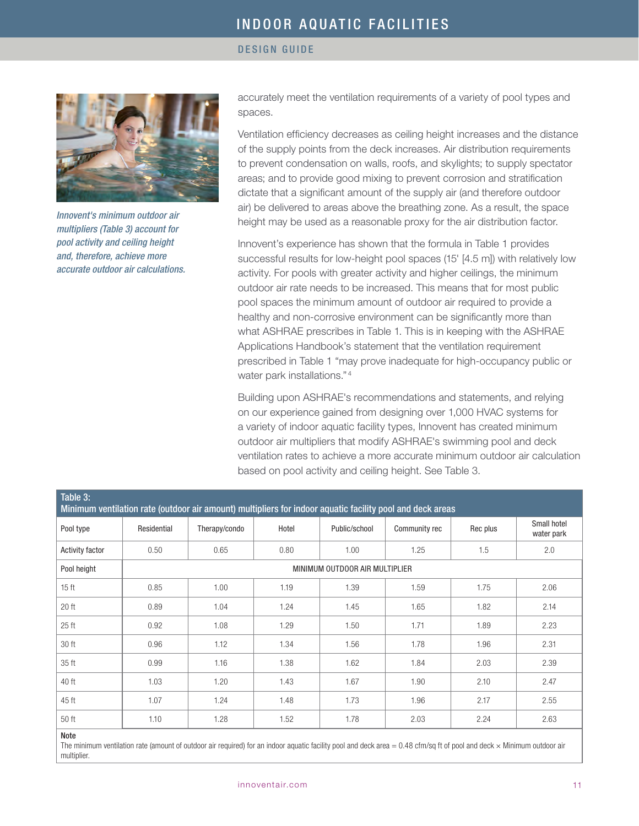## DESIGN GUIDE



*Innovent's minimum outdoor air multipliers (Table 3) account for pool activity and ceiling height and, therefore, achieve more accurate outdoor air calculations.*

accurately meet the ventilation requirements of a variety of pool types and spaces.

Ventilation efficiency decreases as ceiling height increases and the distance of the supply points from the deck increases. Air distribution requirements to prevent condensation on walls, roofs, and skylights; to supply spectator areas; and to provide good mixing to prevent corrosion and stratification dictate that a significant amount of the supply air (and therefore outdoor air) be delivered to areas above the breathing zone. As a result, the space height may be used as a reasonable proxy for the air distribution factor.

Innovent's experience has shown that the formula in Table 1 provides successful results for low-height pool spaces (15' [4.5 m]) with relatively low activity. For pools with greater activity and higher ceilings, the minimum outdoor air rate needs to be increased. This means that for most public pool spaces the minimum amount of outdoor air required to provide a healthy and non-corrosive environment can be significantly more than what ASHRAE prescribes in Table 1. This is in keeping with the ASHRAE Applications Handbook's statement that the ventilation requirement prescribed in Table 1 "may prove inadequate for high-occupancy public or water park installations." <sup>4</sup>

Building upon ASHRAE's recommendations and statements, and relying on our experience gained from designing over 1,000 HVAC systems for a variety of indoor aquatic facility types, Innovent has created minimum outdoor air multipliers that modify ASHRAE's swimming pool and deck ventilation rates to achieve a more accurate minimum outdoor air calculation based on pool activity and ceiling height. See Table 3.

| Table 3:<br>Minimum ventilation rate (outdoor air amount) multipliers for indoor aquatic facility pool and deck areas |                                |               |       |               |               |          |                           |
|-----------------------------------------------------------------------------------------------------------------------|--------------------------------|---------------|-------|---------------|---------------|----------|---------------------------|
| Pool type                                                                                                             | Residential                    | Therapy/condo | Hotel | Public/school | Community rec | Rec plus | Small hotel<br>water park |
| <b>Activity factor</b>                                                                                                | 0.50                           | 0.65          | 0.80  | 1.00          | 1.25          | 1.5      | 2.0                       |
| Pool height                                                                                                           | MINIMUM OUTDOOR AIR MULTIPLIER |               |       |               |               |          |                           |
| 15 <sub>ft</sub>                                                                                                      | 0.85                           | 1.00          | 1.19  | 1.39          | 1.59          | 1.75     | 2.06                      |
| 20 ft                                                                                                                 | 0.89                           | 1.04          | 1.24  | 1.45          | 1.65          | 1.82     | 2.14                      |
| 25 ft                                                                                                                 | 0.92                           | 1.08          | 1.29  | 1.50          | 1.71          | 1.89     | 2.23                      |
| 30 ft                                                                                                                 | 0.96                           | 1.12          | 1.34  | 1.56          | 1.78          | 1.96     | 2.31                      |
| 35 ft                                                                                                                 | 0.99                           | 1.16          | 1.38  | 1.62          | 1.84          | 2.03     | 2.39                      |
| 40 ft                                                                                                                 | 1.03                           | 1.20          | 1.43  | 1.67          | 1.90          | 2.10     | 2.47                      |
| 45 ft                                                                                                                 | 1.07                           | 1.24          | 1.48  | 1.73          | 1.96          | 2.17     | 2.55                      |
| 50 ft                                                                                                                 | 1.10                           | 1.28          | 1.52  | 1.78          | 2.03          | 2.24     | 2.63                      |
| .                                                                                                                     |                                |               |       |               |               |          |                           |

#### Note

The minimum ventilation rate (amount of outdoor air required) for an indoor aquatic facility pool and deck area  $= 0.48$  cfm/sq ft of pool and deck  $\times$  Minimum outdoor air multiplier.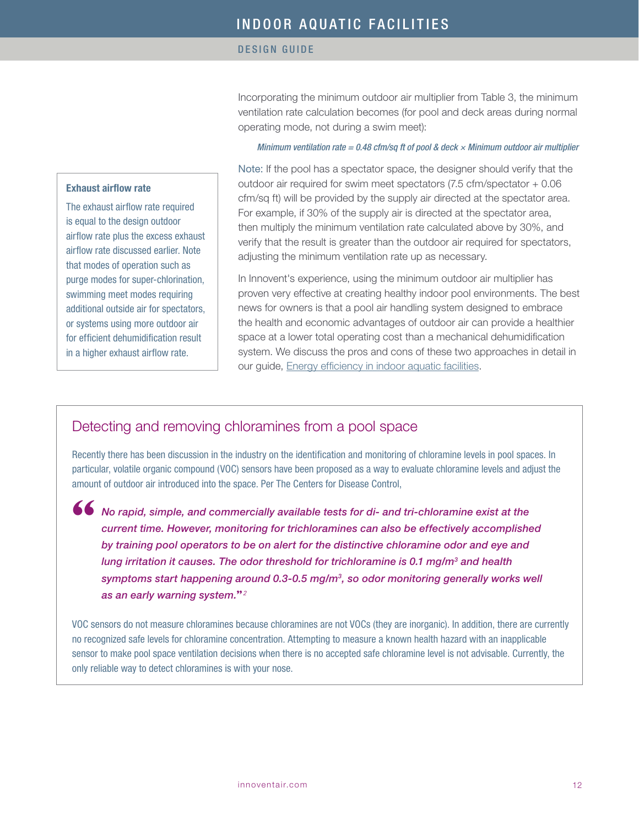Incorporating the minimum outdoor air multiplier from Table 3, the minimum ventilation rate calculation becomes (for pool and deck areas during normal operating mode, not during a swim meet):

## *Minimum ventilation rate = 0.48 cfm/sq ft of pool & deck × Minimum outdoor air multiplier*

# Exhaust airflow rate

The exhaust airflow rate required is equal to the design outdoor airflow rate plus the excess exhaust airflow rate discussed earlier. Note that modes of operation such as purge modes for super-chlorination, swimming meet modes requiring additional outside air for spectators, or systems using more outdoor air for efficient dehumidification result in a higher exhaust airflow rate.

Note: If the pool has a spectator space, the designer should verify that the outdoor air required for swim meet spectators (7.5 cfm/spectator + 0.06 cfm/sq ft) will be provided by the supply air directed at the spectator area. For example, if 30% of the supply air is directed at the spectator area, then multiply the minimum ventilation rate calculated above by 30%, and verify that the result is greater than the outdoor air required for spectators, adjusting the minimum ventilation rate up as necessary.

In Innovent's experience, using the minimum outdoor air multiplier has proven very effective at creating healthy indoor pool environments. The best news for owners is that a pool air handling system designed to embrace the health and economic advantages of outdoor air can provide a healthier space at a lower total operating cost than a mechanical dehumidification system. We discuss the pros and cons of these two approaches in detail in our guide, [Energy efficiency in indoor aquatic facilities](http://innoventair.com/Portals/3/Breathe%20Content/Aquatic-facilities-energy-efficiency.pdf).

# Detecting and removing chloramines from a pool space

Recently there has been discussion in the industry on the identification and monitoring of chloramine levels in pool spaces. In particular, volatile organic compound (VOC) sensors have been proposed as a way to evaluate chloramine levels and adjust the amount of outdoor air introduced into the space. Per The Centers for Disease Control,

**"**

*No rapid, simple, and commercially available tests for di- and tri-chloramine exist at the current time. However, monitoring for trichloramines can also be effectively accomplished by training pool operators to be on alert for the distinctive chloramine odor and eye and lung irritation it causes. The odor threshold for trichloramine is 0.1 mg/m3 and health symptoms start happening around 0.3-0.5 mg/m3, so odor monitoring generally works well as an early warning system.***"***<sup>2</sup>*

VOC sensors do not measure chloramines because chloramines are not VOCs (they are inorganic). In addition, there are currently no recognized safe levels for chloramine concentration. Attempting to measure a known health hazard with an inapplicable sensor to make pool space ventilation decisions when there is no accepted safe chloramine level is not advisable. Currently, the only reliable way to detect chloramines is with your nose.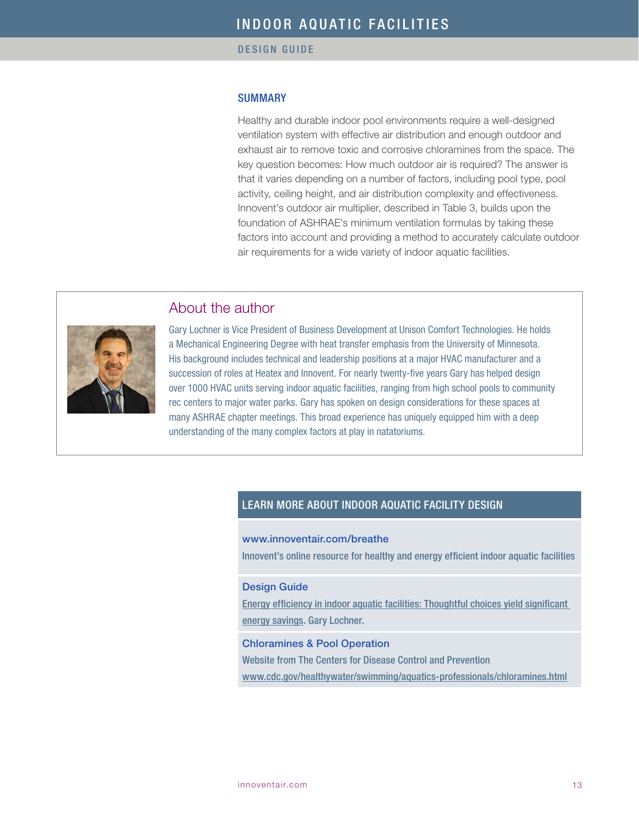# **SUMMARY**

Healthy and durable indoor pool environments require a well-designed ventilation system with effective air distribution and enough outdoor and exhaust air to remove toxic and corrosive chloramines from the space. The key question becomes: How much outdoor air is required? The answer is that it varies depending on a number of factors, including pool type, pool activity, ceiling height, and air distribution complexity and effectiveness. Innovent's outdoor air multiplier, described in Table 3, builds upon the foundation of ASHRAE's minimum ventilation formulas by taking these factors into account and providing a method to accurately calculate outdoor air requirements for a wide variety of indoor aquatic facilities.



About the author

Gary Lochner is Vice President of Business Development at Unison Comfort Technologies. He holds a Mechanical Engineering Degree with heat transfer emphasis from the University of Minnesota. His background includes technical and leadership positions at a major HVAC manufacturer and a succession of roles at Heatex and Innovent. For nearly twenty-five years Gary has helped design over 1000 HVAC units serving indoor aquatic facilities, ranging from high school pools to community rec centers to major water parks. Gary has spoken on design considerations for these spaces at many ASHRAE chapter meetings. This broad experience has uniquely equipped him with a deep understanding of the many complex factors at play in natatoriums.

# LEARN MORE ABOUT INDOOR AQUATIC FACILITY DESIGN

# [www.innoventair.com/breathe](http://www.innoventair.com/breathe)

Innovent's online resource for healthy and energy efficient indoor aquatic facilities

#### Design Guide

[Energy efficiency in indoor aquatic facilities: Thoughtful choices yield significant](http://www.innoventair.com/Portals/3/Breathe%20Content/Aquatic-facilities-energy-efficiency.pdf)  [energy savings.](http://www.innoventair.com/Portals/3/Breathe%20Content/Aquatic-facilities-energy-efficiency.pdf) Gary Lochner.

#### [Chloramines & Pool Operation](http://www.cdc.gov/healthywater/swimming/aquatics-professionals/chloramines.html)

Website from The Centers for Disease Control and Prevention [www.cdc.gov/healthywater/swimming/aquatics-professionals/chloramines.html](http://www.cdc.gov/healthywater/swimming/aquatics-professionals/chloramines.html)